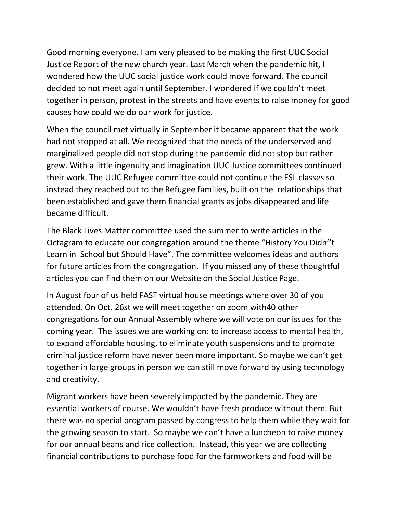Good morning everyone. I am very pleased to be making the first UUC Social Justice Report of the new church year. Last March when the pandemic hit, I wondered how the UUC social justice work could move forward. The council decided to not meet again until September. I wondered if we couldn't meet together in person, protest in the streets and have events to raise money for good causes how could we do our work for justice.

When the council met virtually in September it became apparent that the work had not stopped at all. We recognized that the needs of the underserved and marginalized people did not stop during the pandemic did not stop but rather grew. With a little ingenuity and imagination UUC Justice committees continued their work. The UUC Refugee committee could not continue the ESL classes so instead they reached out to the Refugee families, built on the relationships that been established and gave them financial grants as jobs disappeared and life became difficult.

The Black Lives Matter committee used the summer to write articles in the Octagram to educate our congregation around the theme "History You Didn''t Learn in School but Should Have". The committee welcomes ideas and authors for future articles from the congregation. If you missed any of these thoughtful articles you can find them on our Website on the Social Justice Page.

In August four of us held FAST virtual house meetings where over 30 of you attended. On Oct. 26st we will meet together on zoom with40 other congregations for our Annual Assembly where we will vote on our issues for the coming year. The issues we are working on: to increase access to mental health, to expand affordable housing, to eliminate youth suspensions and to promote criminal justice reform have never been more important. So maybe we can't get together in large groups in person we can still move forward by using technology and creativity.

Migrant workers have been severely impacted by the pandemic. They are essential workers of course. We wouldn't have fresh produce without them. But there was no special program passed by congress to help them while they wait for the growing season to start. So maybe we can't have a luncheon to raise money for our annual beans and rice collection. Instead, this year we are collecting financial contributions to purchase food for the farmworkers and food will be